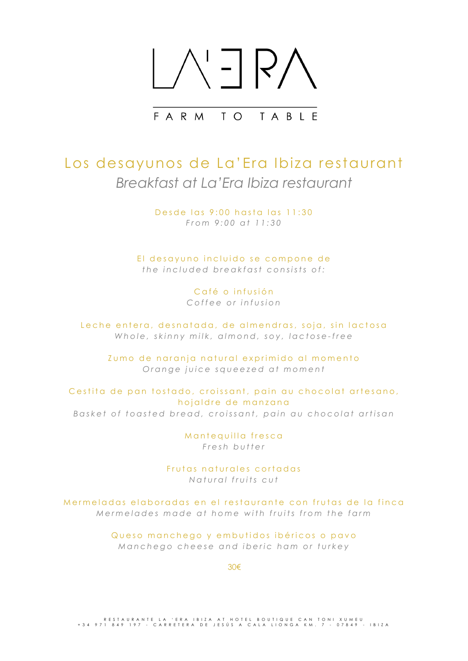

# Los desayunos de La'Era Ibiza restaurant *Breakfast at La'Era Ibiza restaurant*

Desde las 9:00 hasta las 11:30 *From 9:00 a t 11:30*

El desayuno incluido se compone de *the included breakfast consists of:*

> Café o infusión *Coffee or infusion*

Leche entera, desnatada, de almendras, soja, sin lactosa *Whole , skinny milk, almond, soy, lactose - free*

Zumo de naranja natural exprimido al momento *<u>Orange</u> juice squeezed* at *moment* 

Cestita de pan tostado, croissant, pain au chocolat artesano, hojaldre de manzana *Basket o f toasted bread, croissant, pain a u chocolat artisan*

> Mantequilla fresca *Fresh butter*

Frutas naturales cortadas *Natural fruits cut*

Mermeladas elaboradas en el restaurante con frutas de la finca *Mermelades made a t home with fruits from the farm*

> Queso manchego y embutidos ibéricos o pavo *Manchego cheese and iberic ham o r turkey*

> > 30€

RESTAURANTE LA 'ERA IBIZA AT HOTEL BOUTIQUE CAN TONI XUMEU<br>434 971 849 197 - CARRETERA DE JESÚS A CALA LIONGA KM. 7 - 07849 - IBIZ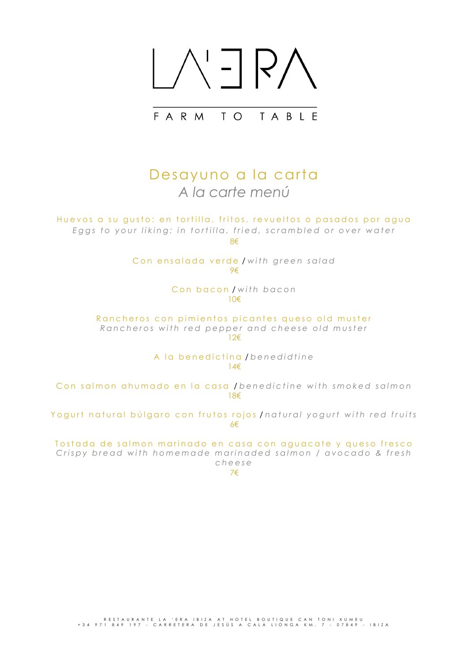

#### F A R M T O TABLE

## Desayuno a la carta *A la carte menú*

Huevos a su gusto: en tortilla, fritos, revueltos o pasados por agua *Eggs t o your liking: i n tortilla, fried, scrambled o r over water*

8€

Con ensalada verde / *with green salad* 9€

> Con bacon / *with bacon* 10€

Rancheros con pimientos picantes queso old muster *Rancheros with red pepper and cheese old muster*

12€

A l a benedictina / *benedidtine* 14€

Con salmon ahumado en la casa / benedictine with smoked salmon 18€

Yogurt natural búlgaro con frutos rojos / *natural yogurt with red fruits* 6€

Tostada de salmon marinado en casa con aguacate y queso fresco *Crispy bread with homemade marinaded salmon / avocado & fresh cheese*

7€

RESTAURANTE LA 'ERA IBIZA AT HOTEL BOUTIQUE CAN TONI XUMEU<br>434 971 849 197 - CARRETERA DE JESÚS A CALA LIONGA KM. 7 - 07849 - IBIZ